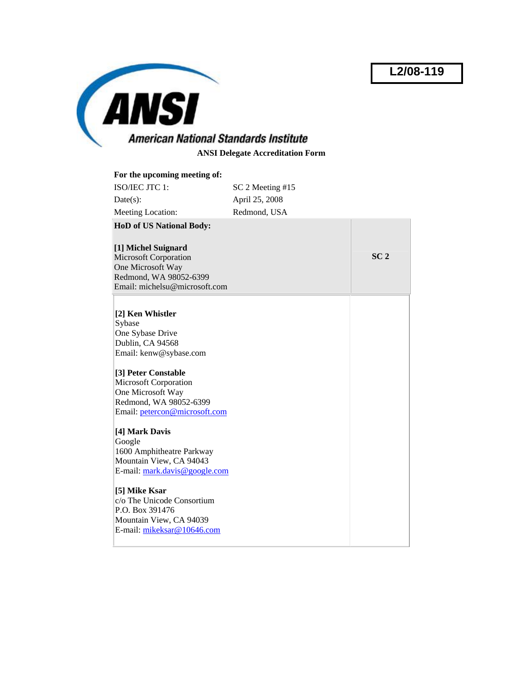**L2/08-119**



**ANSI Delegate Accreditation Form** 

| For the upcoming meeting of:                            |                  |                 |
|---------------------------------------------------------|------------------|-----------------|
| ISO/IEC JTC 1:                                          | SC 2 Meeting #15 |                 |
| $Date(s)$ :                                             | April 25, 2008   |                 |
| Meeting Location:                                       | Redmond, USA     |                 |
| <b>HoD of US National Body:</b>                         |                  |                 |
|                                                         |                  |                 |
| [1] Michel Suignard                                     |                  |                 |
| <b>Microsoft Corporation</b>                            |                  | SC <sub>2</sub> |
| One Microsoft Way                                       |                  |                 |
| Redmond, WA 98052-6399<br>Email: michelsu@microsoft.com |                  |                 |
|                                                         |                  |                 |
|                                                         |                  |                 |
| [2] Ken Whistler                                        |                  |                 |
| Sybase                                                  |                  |                 |
| One Sybase Drive                                        |                  |                 |
| Dublin, CA 94568                                        |                  |                 |
| Email: kenw@sybase.com                                  |                  |                 |
| [3] Peter Constable                                     |                  |                 |
| Microsoft Corporation                                   |                  |                 |
| One Microsoft Way                                       |                  |                 |
| Redmond, WA 98052-6399                                  |                  |                 |
| Email: petercon@microsoft.com                           |                  |                 |
|                                                         |                  |                 |
| [4] Mark Davis<br>Google                                |                  |                 |
| 1600 Amphitheatre Parkway                               |                  |                 |
| Mountain View, CA 94043                                 |                  |                 |
| E-mail: mark.davis@google.com                           |                  |                 |
|                                                         |                  |                 |
| [5] Mike Ksar                                           |                  |                 |
| c/o The Unicode Consortium                              |                  |                 |
| P.O. Box 391476                                         |                  |                 |
| Mountain View, CA 94039                                 |                  |                 |
| E-mail: mikeksar@10646.com                              |                  |                 |
|                                                         |                  |                 |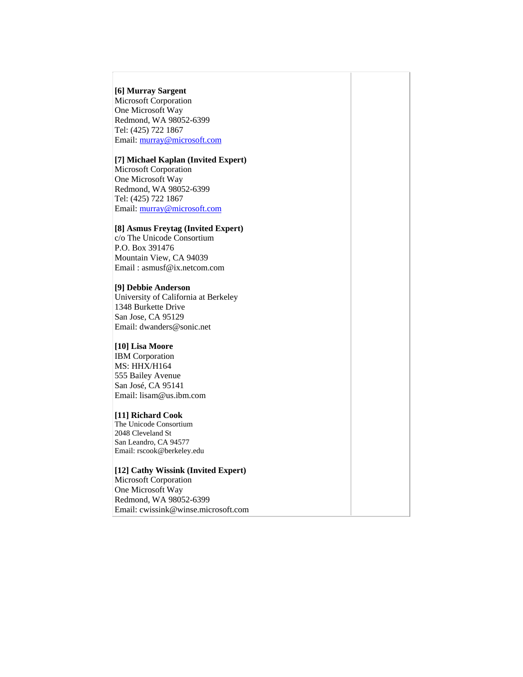## **[6] Murray Sargent**

Microsoft Corporation One Microsoft Way Redmond, WA 98052-6399 Tel: (425) 722 1867 Email: [murray@microsoft.com](mailto:murray@microsoft.com)

# **[7] Michael Kaplan (Invited Expert)**

Microsoft Corporation One Microsoft Way Redmond, WA 98052-6399 Tel: (425) 722 1867 Email: [murray@microsoft.com](mailto:murray@microsoft.com)

## **[8] Asmus Freytag (Invited Expert)**

c/o The Unicode Consortium P.O. Box 391476 Mountain View, CA 94039 Email : asmusf@ix.netcom.com

# **[9] Debbie Anderson**

University of California at Berkeley 1348 Burkette Drive San Jose, CA 95129 Email: dwanders@sonic.net

#### **[10] Lisa Moore**

IBM Corporation MS: HHX/H164 555 Bailey Avenue San José, CA 95141 Email: lisam@us.ibm.com

#### **[11] Richard Cook**

The Unicode Consortium 2048 Cleveland St San Leandro, CA 94577 Email: rscook@berkeley.edu

# **[12] Cathy Wissink (Invited Expert)**

Microsoft Corporation One Microsoft Way Redmond, WA 98052-6399 Email: cwissink@winse.microsoft.com